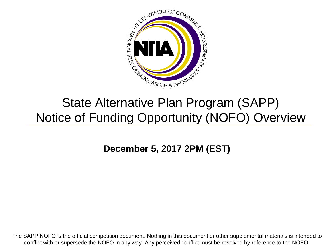

## State Alternative Plan Program (SAPP) Notice of Funding Opportunity (NOFO) Overview

**December 5, 2017 2PM (EST)**

The SAPP NOFO is the official competition document. Nothing in this document or other supplemental materials is intended to conflict with or supersede the NOFO in any way. Any perceived conflict must be resolved by reference to the NOFO.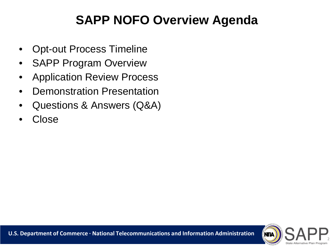## **SAPP NOFO Overview Agenda**

- Opt-out Process Timeline
- SAPP Program Overview
- Application Review Process
- Demonstration Presentation
- Questions & Answers (Q&A)
- Close

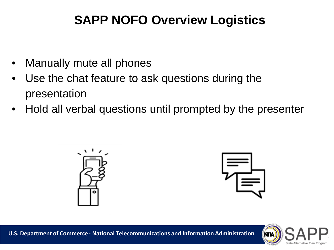## **SAPP NOFO Overview Logistics**

- Manually mute all phones
- Use the chat feature to ask questions during the presentation
- Hold all verbal questions until prompted by the presenter







3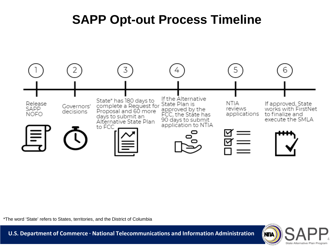#### **SAPP Opt-out Process Timeline**



\*The word 'State' refers to States, territories, and the District of Columbia

**NTIA** 4 State Alternative Plan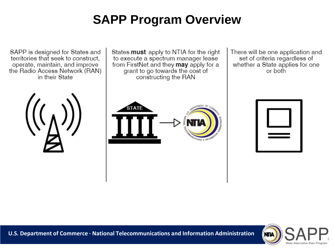## **SAPP Program Overview**

SAPP is designed for States and territories that seek to construct, operate, maintain, and improve the Radio Access Network (RAN) in their State



States must apply to NTIA for the right to execute a spectrum manager lease from FirstNet and they may apply for a grant to go towards the cost of constructing the RAN



| There will be one application and |
|-----------------------------------|
| set of criteria regardless of     |
| whether a State applies for one   |
| or both                           |
|                                   |



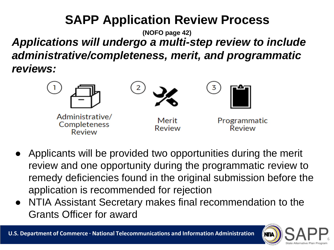## **SAPP Application Review Process**

*Applications will undergo a multi-step review to include administrative/completeness, merit, and programmatic reviews:* **(NOFO page 42)**



- Applicants will be provided two opportunities during the merit review and one opportunity during the programmatic review to remedy deficiencies found in the original submission before the application is recommended for rejection
- NTIA Assistant Secretary makes final recommendation to the Grants Officer for award

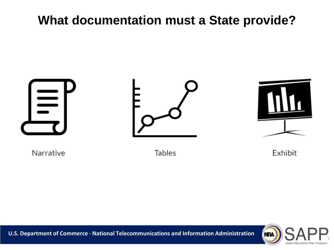### **What documentation must a State provide?**



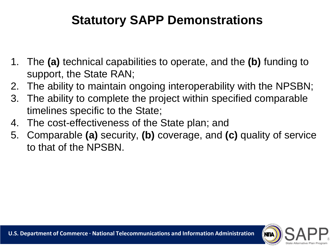## **Statutory SAPP Demonstrations**

- 1. The **(a)** technical capabilities to operate, and the **(b)** funding to support, the State RAN;
- 2. The ability to maintain ongoing interoperability with the NPSBN;
- 3. The ability to complete the project within specified comparable timelines specific to the State;
- 4. The cost-effectiveness of the State plan; and
- 5. Comparable **(a)** security, **(b)** coverage, and **(c)** quality of service to that of the NPSBN.

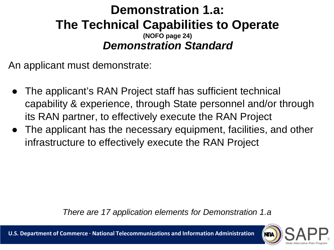#### **Demonstration 1.a: The Technical Capabilities to Operate (NOFO page 24)** *Demonstration Standard*

An applicant must demonstrate:

- The applicant's RAN Project staff has sufficient technical capability & experience, through State personnel and/or through its RAN partner, to effectively execute the RAN Project
- The applicant has the necessary equipment, facilities, and other infrastructure to effectively execute the RAN Project

*There are 17 application elements for Demonstration 1.a*

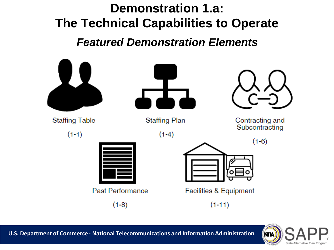## **Demonstration 1.a: The Technical Capabilities to Operate** *Featured Demonstration Elements*



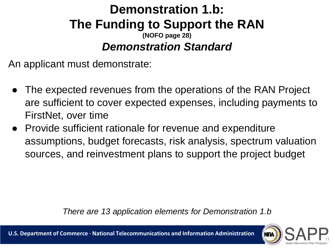#### **Demonstration 1.b: The Funding to Support the RAN (NOFO page 28)** *Demonstration Standard*

An applicant must demonstrate:

- The expected revenues from the operations of the RAN Project are sufficient to cover expected expenses, including payments to FirstNet, over time
- Provide sufficient rationale for revenue and expenditure assumptions, budget forecasts, risk analysis, spectrum valuation sources, and reinvestment plans to support the project budget

*There are 13 application elements for Demonstration 1.b*

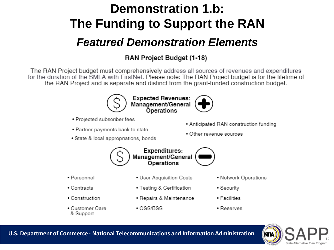# **Demonstration 1.b:** The Funding to Support the RAN

#### **Featured Demonstration Elements**

#### RAN Project Budget (1-18)

The RAN Project budget must comprehensively address all sources of revenues and expenditures for the duration of the SMLA with FirstNet. Please note: The RAN Project budget is for the lifetime of the RAN Project and is separate and distinct from the grant-funded construction budget.



**Expected Revenues:** Management/General **Operations** 

- Projected subscriber fees
- Partner payments back to state
- State & local appropriations, bonds



• Other revenue sources



- Personnel
- Contracts
- Construction
- Customer Care & Support
- User Acquisition Costs
- Testing & Certification
- Repairs & Maintenance
- ∙OSS/BSS
- Network Operations
- Security
- Facilities
- Reserves

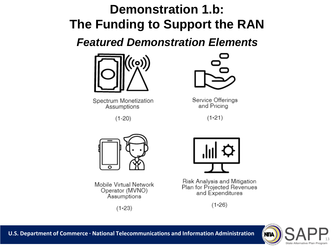## **Demonstration 1.b: The Funding to Support the RAN**

*Featured Demonstration Elements*



Spectrum Monetization Assumptions

 $(1-20)$ 



Service Offerings and Pricing

 $(1 - 21)$ 



Mobile Virtual Network Operator (MVNO) Assumptions

 $(1-23)$ 



Risk Analysis and Mitigation Plan for Projected Revenues and Expenditures

 $(1 - 26)$ 

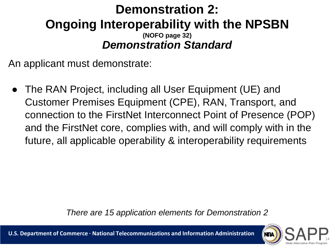#### **Demonstration 2: Ongoing Interoperability with the NPSBN (NOFO page 32)** *Demonstration Standard*

An applicant must demonstrate:

The RAN Project, including all User Equipment (UE) and Customer Premises Equipment (CPE), RAN, Transport, and connection to the FirstNet Interconnect Point of Presence (POP) and the FirstNet core, complies with, and will comply with in the future, all applicable operability & interoperability requirements

*There are 15 application elements for Demonstration 2*

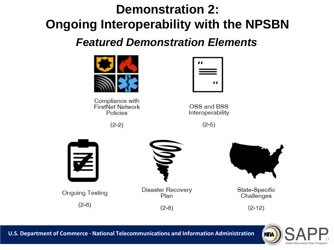# **Demonstration 2: Ongoing Interoperability with the NPSBN**

#### *Featured Demonstration Elements*



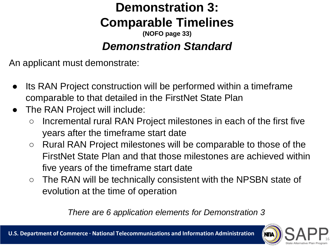## **Demonstration 3: Comparable Timelines**

**(NOFO page 33)**

#### *Demonstration Standard*

An applicant must demonstrate:

- Its RAN Project construction will be performed within a timeframe comparable to that detailed in the FirstNet State Plan
- The RAN Project will include:
	- Incremental rural RAN Project milestones in each of the first five years after the timeframe start date
	- Rural RAN Project milestones will be comparable to those of the FirstNet State Plan and that those milestones are achieved within five years of the timeframe start date
	- The RAN will be technically consistent with the NPSBN state of evolution at the time of operation

*There are 6 application elements for Demonstration 3*

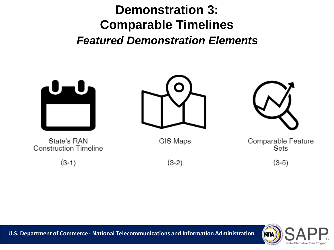### **Demonstration 3: Comparable Timelines Featured Demonstration Elements**







State's RAN **Construction Timeline** 

 $(3-1)$ 

GIS Maps

 $(3-2)$ 

Comparable Feature Sets

 $(3-5)$ 



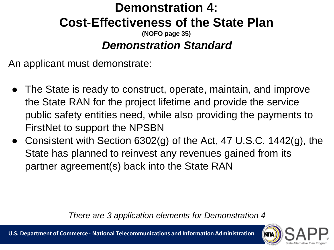#### **Demonstration 4: Cost-Effectiveness of the State Plan (NOFO page 35)**

#### *Demonstration Standard*

An applicant must demonstrate:

- The State is ready to construct, operate, maintain, and improve the State RAN for the project lifetime and provide the service public safety entities need, while also providing the payments to FirstNet to support the NPSBN
- Consistent with Section 6302(g) of the Act, 47 U.S.C. 1442(g), the State has planned to reinvest any revenues gained from its partner agreement(s) back into the State RAN

*There are 3 application elements for Demonstration 4*

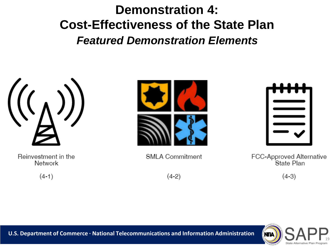## **Demonstration 4: Cost-Effectiveness of the State Plan** *Featured Demonstration Elements*



Reinvestment in the Network

 $(4-1)$ 



**SMLA Commitment** 

 $(4-2)$ 



FCC-Approved Alternative<br>State Plan

 $(4-3)$ 

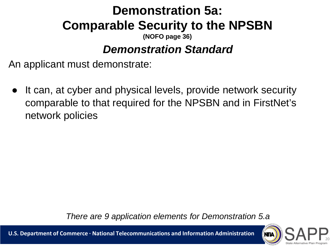#### **Demonstration 5a: Comparable Security to the NPSBN (NOFO page 36)**

#### *Demonstration Standard*

An applicant must demonstrate:

It can, at cyber and physical levels, provide network security comparable to that required for the NPSBN and in FirstNet's network policies

*There are 9 application elements for Demonstration 5.a*

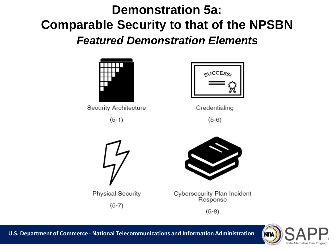## **Demonstration 5a: Comparable Security to that of the NPSBN Featured Demonstration Elements**



Security Architecture

 $(5-1)$ 



Credentialing

 $(5-6)$ 



**Physical Security**  $(5-7)$ 



Cybersecurity Plan Incident Response

 $(5-8)$ 

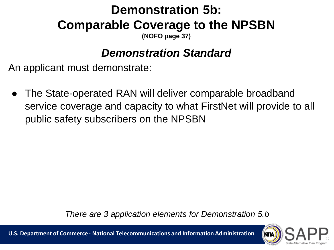## **Demonstration 5b: Comparable Coverage to the NPSBN**

**(NOFO page 37)**

#### *Demonstration Standard*

An applicant must demonstrate:

The State-operated RAN will deliver comparable broadband service coverage and capacity to what FirstNet will provide to all public safety subscribers on the NPSBN

*There are 3 application elements for Demonstration 5.b*

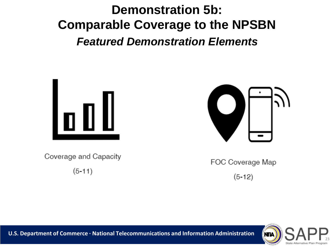## **Demonstration 5b: Comparable Coverage to the NPSBN Featured Demonstration Elements**





Coverage and Capacity

 $(5-11)$ 

FOC Coverage Map

 $(5-12)$ 

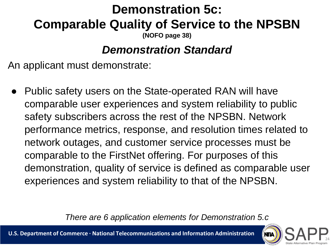#### **Demonstration 5c: Comparable Quality of Service to the NPSBN (NOFO page 38)**

#### *Demonstration Standard*

An applicant must demonstrate:

Public safety users on the State-operated RAN will have comparable user experiences and system reliability to public safety subscribers across the rest of the NPSBN. Network performance metrics, response, and resolution times related to network outages, and customer service processes must be comparable to the FirstNet offering. For purposes of this demonstration, quality of service is defined as comparable user experiences and system reliability to that of the NPSBN.

*There are 6 application elements for Demonstration 5.c*

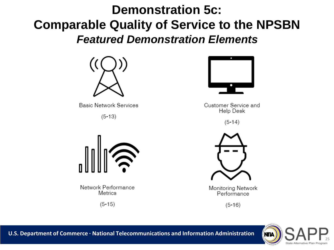## **Demonstration 5c: Comparable Quality of Service to the NPSBN Featured Demonstration Elements**



**Basic Network Services** 

 $(5-13)$ 



Customer Service and Help Desk

 $(5-14)$ 



Monitoring Network Performance

 $(5-16)$ 



Network Performance Metrics

 $(5-15)$ 



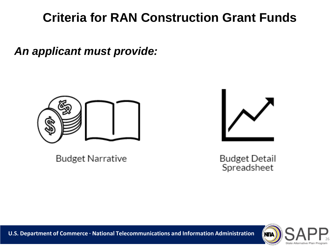### **Criteria for RAN Construction Grant Funds**

*An applicant must provide:*



**Budget Narrative** 



**Budget Detail** Spreadsheet

26